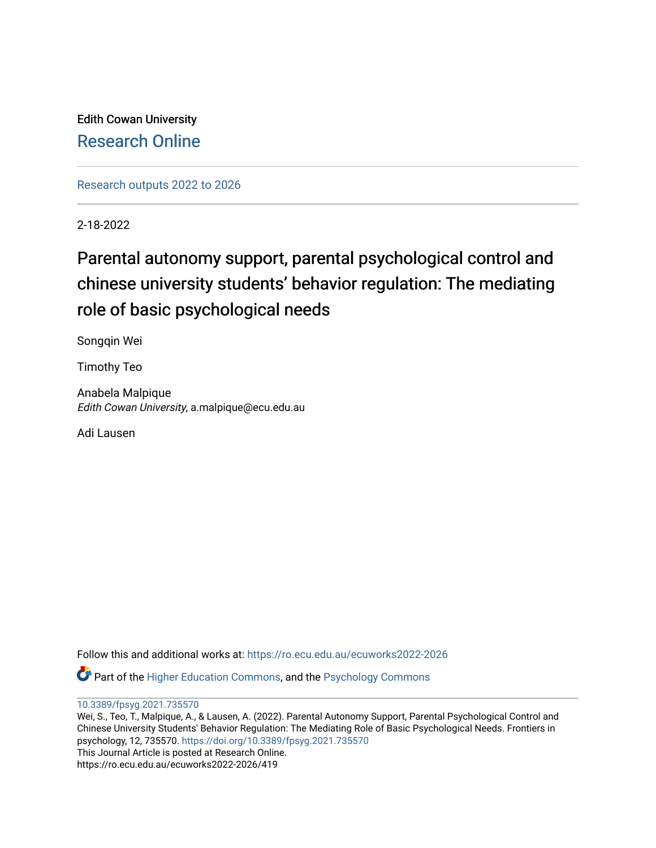Edith Cowan University [Research Online](https://ro.ecu.edu.au/) 

[Research outputs 2022 to 2026](https://ro.ecu.edu.au/ecuworks2022-2026) 

2-18-2022

# Parental autonomy support, parental psychological control and chinese university students' behavior regulation: The mediating role of basic psychological needs

Songqin Wei

Timothy Teo

Anabela Malpique Edith Cowan University, a.malpique@ecu.edu.au

Adi Lausen

Follow this and additional works at: [https://ro.ecu.edu.au/ecuworks2022-2026](https://ro.ecu.edu.au/ecuworks2022-2026?utm_source=ro.ecu.edu.au%2Fecuworks2022-2026%2F419&utm_medium=PDF&utm_campaign=PDFCoverPages)

Part of the [Higher Education Commons,](http://network.bepress.com/hgg/discipline/1245?utm_source=ro.ecu.edu.au%2Fecuworks2022-2026%2F419&utm_medium=PDF&utm_campaign=PDFCoverPages) and the [Psychology Commons](http://network.bepress.com/hgg/discipline/404?utm_source=ro.ecu.edu.au%2Fecuworks2022-2026%2F419&utm_medium=PDF&utm_campaign=PDFCoverPages) 

[10.3389/fpsyg.2021.735570](http://dx.doi.org/10.3389/fpsyg.2021.735570) 

Wei, S., Teo, T., Malpique, A., & Lausen, A. (2022). Parental Autonomy Support, Parental Psychological Control and Chinese University Students' Behavior Regulation: The Mediating Role of Basic Psychological Needs. Frontiers in psychology, 12, 735570. <https://doi.org/10.3389/fpsyg.2021.735570> This Journal Article is posted at Research Online. https://ro.ecu.edu.au/ecuworks2022-2026/419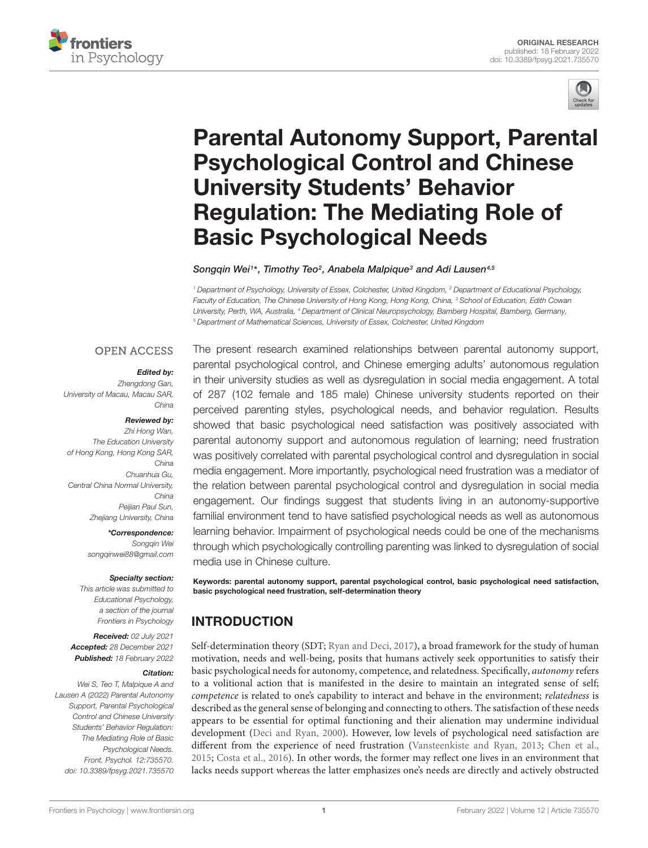



# [Parental Autonomy Support, Parental](https://www.frontiersin.org/articles/10.3389/fpsyg.2021.735570/full) Psychological Control and Chinese University Students' Behavior Regulation: The Mediating Role of Basic Psychological Needs

Songqin Wei1\*, Timothy Teo<sup>2</sup>, Anabela Malpique<sup>3</sup> and Adi Lausen<sup>4,5</sup>

<sup>1</sup> Department of Psychology, University of Essex, Colchester, United Kingdom, <sup>2</sup> Department of Educational Psychology, Faculty of Education, The Chinese University of Hong Kong, Hong Kong, China, <sup>3</sup> School of Education, Edith Cowan University, Perth, WA, Australia, <sup>4</sup> Department of Clinical Neuropsychology, Bamberg Hospital, Bamberg, Germany, <sup>5</sup> Department of Mathematical Sciences, University of Essex, Colchester, United Kingdom

## **OPEN ACCESS**

#### Edited by:

Zhengdong Gan, University of Macau, Macau SAR, China

#### Reviewed by:

Zhi Hong Wan, The Education University of Hong Kong, Hong Kong SAR, China Chuanhua Gu, Central China Normal University, China Peijian Paul Sun, Zhejiang University, China

> \*Correspondence: Songqin Wei [songqinwei88@gmail.com](mailto:songqinwei88@gmail.com)

#### Specialty section:

This article was submitted to Educational Psychology, a section of the journal Frontiers in Psychology

#### Received: 02 July 2021 Accepted: 28 December 2021 Published: 18 February 2022

#### Citation:

Wei S, Teo T, Malpique A and Lausen A (2022) Parental Autonomy Support, Parental Psychological Control and Chinese University Students' Behavior Regulation: The Mediating Role of Basic Psychological Needs. Front. Psychol. 12:735570. doi: [10.3389/fpsyg.2021.735570](https://doi.org/10.3389/fpsyg.2021.735570) The present research examined relationships between parental autonomy support, parental psychological control, and Chinese emerging adults' autonomous regulation in their university studies as well as dysregulation in social media engagement. A total of 287 (102 female and 185 male) Chinese university students reported on their perceived parenting styles, psychological needs, and behavior regulation. Results showed that basic psychological need satisfaction was positively associated with parental autonomy support and autonomous regulation of learning; need frustration was positively correlated with parental psychological control and dysregulation in social media engagement. More importantly, psychological need frustration was a mediator of the relation between parental psychological control and dysregulation in social media engagement. Our findings suggest that students living in an autonomy-supportive familial environment tend to have satisfied psychological needs as well as autonomous learning behavior. Impairment of psychological needs could be one of the mechanisms through which psychologically controlling parenting was linked to dysregulation of social media use in Chinese culture.

Keywords: parental autonomy support, parental psychological control, basic psychological need satisfaction, basic psychological need frustration, self-determination theory

## INTRODUCTION

Self-determination theory (SDT; [Ryan and Deci,](#page-11-0) [2017\)](#page-11-0), a broad framework for the study of human motivation, needs and well-being, posits that humans actively seek opportunities to satisfy their basic psychological needs for autonomy, competence, and relatedness. Specifically, autonomy refers to a volitional action that is manifested in the desire to maintain an integrated sense of self; competence is related to one's capability to interact and behave in the environment; *relatedness* is described as the general sense of belonging and connecting to others. The satisfaction of these needs appears to be essential for optimal functioning and their alienation may undermine individual development [\(Deci and Ryan,](#page-10-0) [2000\)](#page-10-0). However, low levels of psychological need satisfaction are different from the experience of need frustration [\(Vansteenkiste and Ryan,](#page-11-1) [2013;](#page-11-1) [Chen et al.,](#page-10-1) [2015;](#page-10-1) [Costa et al.,](#page-10-2) [2016\)](#page-10-2). In other words, the former may reflect one lives in an environment that lacks needs support whereas the latter emphasizes one's needs are directly and actively obstructed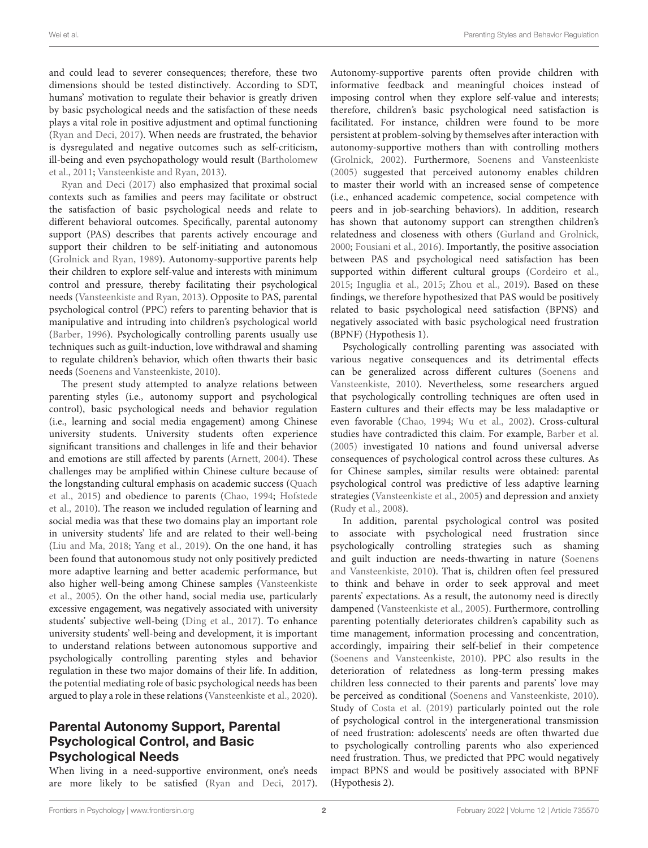and could lead to severer consequences; therefore, these two dimensions should be tested distinctively. According to SDT, humans' motivation to regulate their behavior is greatly driven by basic psychological needs and the satisfaction of these needs plays a vital role in positive adjustment and optimal functioning [\(Ryan and Deci,](#page-11-0) [2017\)](#page-11-0). When needs are frustrated, the behavior is dysregulated and negative outcomes such as self-criticism, ill-being and even psychopathology would result [\(Bartholomew](#page-10-3) [et al.,](#page-10-3) [2011;](#page-10-3) [Vansteenkiste and Ryan,](#page-11-1) [2013\)](#page-11-1).

[Ryan and Deci](#page-11-0) [\(2017\)](#page-11-0) also emphasized that proximal social contexts such as families and peers may facilitate or obstruct the satisfaction of basic psychological needs and relate to different behavioral outcomes. Specifically, parental autonomy support (PAS) describes that parents actively encourage and support their children to be self-initiating and autonomous [\(Grolnick and Ryan,](#page-10-4) [1989\)](#page-10-4). Autonomy-supportive parents help their children to explore self-value and interests with minimum control and pressure, thereby facilitating their psychological needs [\(Vansteenkiste and Ryan,](#page-11-1) [2013\)](#page-11-1). Opposite to PAS, parental psychological control (PPC) refers to parenting behavior that is manipulative and intruding into children's psychological world [\(Barber,](#page-10-5) [1996\)](#page-10-5). Psychologically controlling parents usually use techniques such as guilt-induction, love withdrawal and shaming to regulate children's behavior, which often thwarts their basic needs [\(Soenens and Vansteenkiste,](#page-11-2) [2010\)](#page-11-2).

The present study attempted to analyze relations between parenting styles (i.e., autonomy support and psychological control), basic psychological needs and behavior regulation (i.e., learning and social media engagement) among Chinese university students. University students often experience significant transitions and challenges in life and their behavior and emotions are still affected by parents [\(Arnett,](#page-10-6) [2004\)](#page-10-6). These challenges may be amplified within Chinese culture because of the longstanding cultural emphasis on academic success [\(Quach](#page-11-3) [et al.,](#page-11-3) [2015\)](#page-11-3) and obedience to parents [\(Chao,](#page-10-7) [1994;](#page-10-7) [Hofstede](#page-10-8) [et al.,](#page-10-8) [2010\)](#page-10-8). The reason we included regulation of learning and social media was that these two domains play an important role in university students' life and are related to their well-being [\(Liu and Ma,](#page-11-4) [2018;](#page-11-4) [Yang et al.,](#page-11-5) [2019\)](#page-11-5). On the one hand, it has been found that autonomous study not only positively predicted more adaptive learning and better academic performance, but also higher well-being among Chinese samples [\(Vansteenkiste](#page-11-6) [et al.,](#page-11-6) [2005\)](#page-11-6). On the other hand, social media use, particularly excessive engagement, was negatively associated with university students' subjective well-being [\(Ding et al.,](#page-10-9) [2017\)](#page-10-9). To enhance university students' well-being and development, it is important to understand relations between autonomous supportive and psychologically controlling parenting styles and behavior regulation in these two major domains of their life. In addition, the potential mediating role of basic psychological needs has been argued to play a role in these relations [\(Vansteenkiste et al.,](#page-11-7) [2020\)](#page-11-7).

## Parental Autonomy Support, Parental Psychological Control, and Basic Psychological Needs

When living in a need-supportive environment, one's needs are more likely to be satisfied [\(Ryan and Deci,](#page-11-0) [2017\)](#page-11-0). Autonomy-supportive parents often provide children with informative feedback and meaningful choices instead of imposing control when they explore self-value and interests; therefore, children's basic psychological need satisfaction is facilitated. For instance, children were found to be more persistent at problem-solving by themselves after interaction with autonomy-supportive mothers than with controlling mothers [\(Grolnick,](#page-10-10) [2002\)](#page-10-10). Furthermore, [Soenens and Vansteenkiste](#page-11-8) [\(2005\)](#page-11-8) suggested that perceived autonomy enables children to master their world with an increased sense of competence (i.e., enhanced academic competence, social competence with peers and in job-searching behaviors). In addition, research has shown that autonomy support can strengthen children's relatedness and closeness with others [\(Gurland and Grolnick,](#page-10-11) [2000;](#page-10-11) [Fousiani et al.,](#page-10-12) [2016\)](#page-10-12). Importantly, the positive association between PAS and psychological need satisfaction has been supported within different cultural groups [\(Cordeiro et al.,](#page-10-13) [2015;](#page-10-13) [Inguglia et al.,](#page-10-14) [2015;](#page-10-14) [Zhou et al.,](#page-12-0) [2019\)](#page-12-0). Based on these findings, we therefore hypothesized that PAS would be positively related to basic psychological need satisfaction (BPNS) and negatively associated with basic psychological need frustration (BPNF) (Hypothesis 1).

Psychologically controlling parenting was associated with various negative consequences and its detrimental effects can be generalized across different cultures [\(Soenens and](#page-11-2) [Vansteenkiste,](#page-11-2) [2010\)](#page-11-2). Nevertheless, some researchers argued that psychologically controlling techniques are often used in Eastern cultures and their effects may be less maladaptive or even favorable [\(Chao,](#page-10-7) [1994;](#page-10-7) [Wu et al.,](#page-11-9) [2002\)](#page-11-9). Cross-cultural studies have contradicted this claim. For example, [Barber et al.](#page-10-15) [\(2005\)](#page-10-15) investigated 10 nations and found universal adverse consequences of psychological control across these cultures. As for Chinese samples, similar results were obtained: parental psychological control was predictive of less adaptive learning strategies [\(Vansteenkiste et al.,](#page-11-6) [2005\)](#page-11-6) and depression and anxiety [\(Rudy et al.,](#page-11-10) [2008\)](#page-11-10).

In addition, parental psychological control was posited to associate with psychological need frustration since psychologically controlling strategies such as shaming and guilt induction are needs-thwarting in nature [\(Soenens](#page-11-2) [and Vansteenkiste,](#page-11-2) [2010\)](#page-11-2). That is, children often feel pressured to think and behave in order to seek approval and meet parents' expectations. As a result, the autonomy need is directly dampened [\(Vansteenkiste et al.,](#page-11-6) [2005\)](#page-11-6). Furthermore, controlling parenting potentially deteriorates children's capability such as time management, information processing and concentration, accordingly, impairing their self-belief in their competence [\(Soenens and Vansteenkiste,](#page-11-2) [2010\)](#page-11-2). PPC also results in the deterioration of relatedness as long-term pressing makes children less connected to their parents and parents' love may be perceived as conditional [\(Soenens and Vansteenkiste,](#page-11-2) [2010\)](#page-11-2). Study of [Costa et al.](#page-10-16) [\(2019\)](#page-10-16) particularly pointed out the role of psychological control in the intergenerational transmission of need frustration: adolescents' needs are often thwarted due to psychologically controlling parents who also experienced need frustration. Thus, we predicted that PPC would negatively impact BPNS and would be positively associated with BPNF (Hypothesis 2).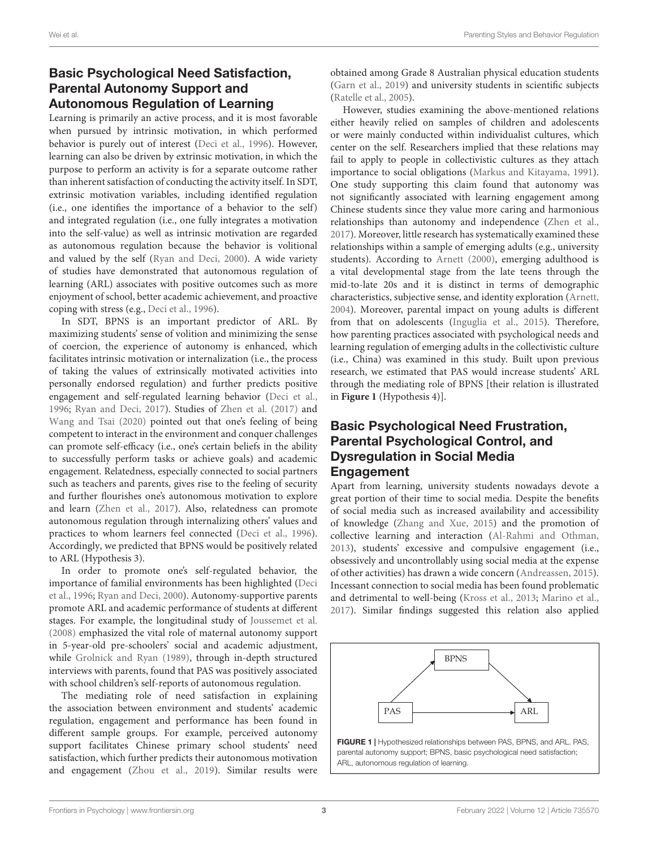# Basic Psychological Need Satisfaction, Parental Autonomy Support and Autonomous Regulation of Learning

Learning is primarily an active process, and it is most favorable when pursued by intrinsic motivation, in which performed behavior is purely out of interest [\(Deci et al.,](#page-10-17) [1996\)](#page-10-17). However, learning can also be driven by extrinsic motivation, in which the purpose to perform an activity is for a separate outcome rather than inherent satisfaction of conducting the activity itself. In SDT, extrinsic motivation variables, including identified regulation (i.e., one identifies the importance of a behavior to the self) and integrated regulation (i.e., one fully integrates a motivation into the self-value) as well as intrinsic motivation are regarded as autonomous regulation because the behavior is volitional and valued by the self [\(Ryan and Deci,](#page-11-11) [2000\)](#page-11-11). A wide variety of studies have demonstrated that autonomous regulation of learning (ARL) associates with positive outcomes such as more enjoyment of school, better academic achievement, and proactive coping with stress (e.g., [Deci et al.,](#page-10-17) [1996\)](#page-10-17).

In SDT, BPNS is an important predictor of ARL. By maximizing students' sense of volition and minimizing the sense of coercion, the experience of autonomy is enhanced, which facilitates intrinsic motivation or internalization (i.e., the process of taking the values of extrinsically motivated activities into personally endorsed regulation) and further predicts positive engagement and self-regulated learning behavior [\(Deci et al.,](#page-10-17) [1996;](#page-10-17) [Ryan and Deci,](#page-11-0) [2017\)](#page-11-0). Studies of [Zhen et al.](#page-11-12) [\(2017\)](#page-11-12) and [Wang and Tsai](#page-11-13) [\(2020\)](#page-11-13) pointed out that one's feeling of being competent to interact in the environment and conquer challenges can promote self-efficacy (i.e., one's certain beliefs in the ability to successfully perform tasks or achieve goals) and academic engagement. Relatedness, especially connected to social partners such as teachers and parents, gives rise to the feeling of security and further flourishes one's autonomous motivation to explore and learn [\(Zhen et al.,](#page-11-12) [2017\)](#page-11-12). Also, relatedness can promote autonomous regulation through internalizing others' values and practices to whom learners feel connected [\(Deci et al.,](#page-10-17) [1996\)](#page-10-17). Accordingly, we predicted that BPNS would be positively related to ARL (Hypothesis 3).

In order to promote one's self-regulated behavior, the importance of familial environments has been highlighted [\(Deci](#page-10-17) [et al.,](#page-10-17) [1996;](#page-10-17) [Ryan and Deci,](#page-11-11) [2000\)](#page-11-11). Autonomy-supportive parents promote ARL and academic performance of students at different stages. For example, the longitudinal study of [Joussemet et al.](#page-10-18) [\(2008\)](#page-10-18) emphasized the vital role of maternal autonomy support in 5-year-old pre-schoolers' social and academic adjustment, while [Grolnick and Ryan](#page-10-4) [\(1989\)](#page-10-4), through in-depth structured interviews with parents, found that PAS was positively associated with school children's self-reports of autonomous regulation.

The mediating role of need satisfaction in explaining the association between environment and students' academic regulation, engagement and performance has been found in different sample groups. For example, perceived autonomy support facilitates Chinese primary school students' need satisfaction, which further predicts their autonomous motivation and engagement [\(Zhou et al.,](#page-12-0) [2019\)](#page-12-0). Similar results were

obtained among Grade 8 Australian physical education students [\(Garn et al.,](#page-10-19) [2019\)](#page-10-19) and university students in scientific subjects [\(Ratelle et al.,](#page-11-14) [2005\)](#page-11-14).

However, studies examining the above-mentioned relations either heavily relied on samples of children and adolescents or were mainly conducted within individualist cultures, which center on the self. Researchers implied that these relations may fail to apply to people in collectivistic cultures as they attach importance to social obligations [\(Markus and Kitayama,](#page-11-15) [1991\)](#page-11-15). One study supporting this claim found that autonomy was not significantly associated with learning engagement among Chinese students since they value more caring and harmonious relationships than autonomy and independence [\(Zhen et al.,](#page-11-12) [2017\)](#page-11-12). Moreover, little research has systematically examined these relationships within a sample of emerging adults (e.g., university students). According to [Arnett](#page-10-20) [\(2000\)](#page-10-20), emerging adulthood is a vital developmental stage from the late teens through the mid-to-late 20s and it is distinct in terms of demographic characteristics, subjective sense, and identity exploration [\(Arnett,](#page-10-6) [2004\)](#page-10-6). Moreover, parental impact on young adults is different from that on adolescents [\(Inguglia et al.,](#page-10-14) [2015\)](#page-10-14). Therefore, how parenting practices associated with psychological needs and learning regulation of emerging adults in the collectivistic culture (i.e., China) was examined in this study. Built upon previous research, we estimated that PAS would increase students' ARL through the mediating role of BPNS [their relation is illustrated in **[Figure 1](#page-3-0)** (Hypothesis 4)].

## Basic Psychological Need Frustration, Parental Psychological Control, and Dysregulation in Social Media Engagement

Apart from learning, university students nowadays devote a great portion of their time to social media. Despite the benefits of social media such as increased availability and accessibility of knowledge [\(Zhang and Xue,](#page-11-16) [2015\)](#page-11-16) and the promotion of collective learning and interaction [\(Al-Rahmi and Othman,](#page-10-21) [2013\)](#page-10-21), students' excessive and compulsive engagement (i.e., obsessively and uncontrollably using social media at the expense of other activities) has drawn a wide concern [\(Andreassen,](#page-10-22) [2015\)](#page-10-22). Incessant connection to social media has been found problematic and detrimental to well-being [\(Kross et al.,](#page-10-23) [2013;](#page-10-23) [Marino et al.,](#page-11-17) [2017\)](#page-11-17). Similar findings suggested this relation also applied

<span id="page-3-0"></span>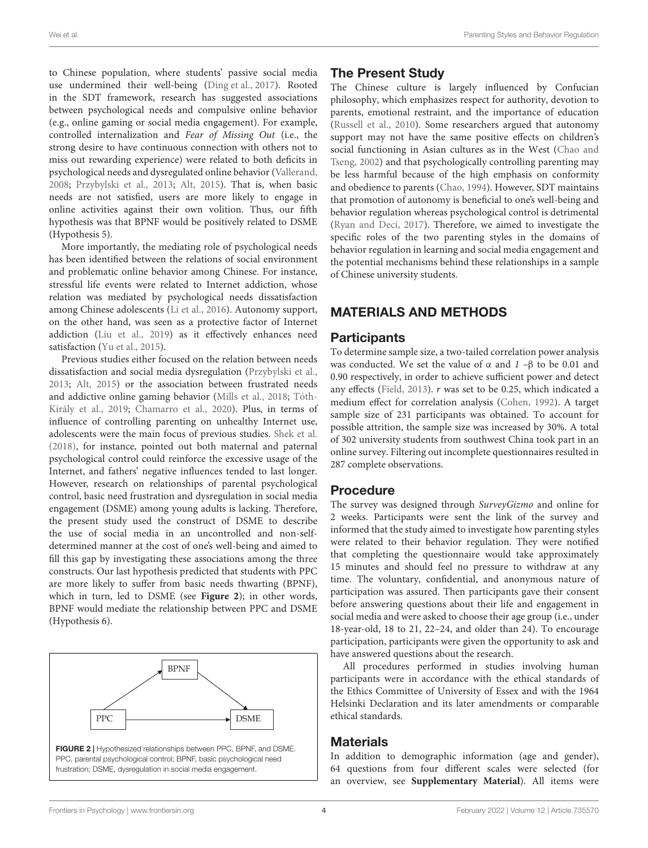to Chinese population, where students' passive social media use undermined their well-being [\(Ding et al.,](#page-10-9) [2017\)](#page-10-9). Rooted in the SDT framework, research has suggested associations between psychological needs and compulsive online behavior (e.g., online gaming or social media engagement). For example, controlled internalization and Fear of Missing Out (i.e., the strong desire to have continuous connection with others not to miss out rewarding experience) were related to both deficits in psychological needs and dysregulated online behavior [\(Vallerand,](#page-11-18) [2008;](#page-11-18) [Przybylski et al.,](#page-11-19) [2013;](#page-11-19) [Alt,](#page-10-24) [2015\)](#page-10-24). That is, when basic needs are not satisfied, users are more likely to engage in online activities against their own volition. Thus, our fifth hypothesis was that BPNF would be positively related to DSME (Hypothesis 5).

More importantly, the mediating role of psychological needs has been identified between the relations of social environment and problematic online behavior among Chinese. For instance, stressful life events were related to Internet addiction, whose relation was mediated by psychological needs dissatisfaction among Chinese adolescents [\(Li et al.,](#page-10-25) [2016\)](#page-10-25). Autonomy support, on the other hand, was seen as a protective factor of Internet addiction [\(Liu et al.,](#page-11-20) [2019\)](#page-11-20) as it effectively enhances need satisfaction [\(Yu et al.,](#page-11-21) [2015\)](#page-11-21).

Previous studies either focused on the relation between needs dissatisfaction and social media dysregulation [\(Przybylski et al.,](#page-11-19) [2013;](#page-11-19) [Alt,](#page-10-24) [2015\)](#page-10-24) or the association between frustrated needs and addictive online gaming behavior [\(Mills et al.,](#page-11-22) [2018;](#page-11-22) [Tóth-](#page-11-23)[Király et al.,](#page-11-23) [2019;](#page-11-23) [Chamarro et al.,](#page-10-26) [2020\)](#page-10-26). Plus, in terms of influence of controlling parenting on unhealthy Internet use, adolescents were the main focus of previous studies. [Shek et al.](#page-11-24) [\(2018\)](#page-11-24), for instance, pointed out both maternal and paternal psychological control could reinforce the excessive usage of the Internet, and fathers' negative influences tended to last longer. However, research on relationships of parental psychological control, basic need frustration and dysregulation in social media engagement (DSME) among young adults is lacking. Therefore, the present study used the construct of DSME to describe the use of social media in an uncontrolled and non-selfdetermined manner at the cost of one's well-being and aimed to fill this gap by investigating these associations among the three constructs. Our last hypothesis predicted that students with PPC are more likely to suffer from basic needs thwarting (BPNF), which in turn, led to DSME (see **[Figure 2](#page-4-0)**); in other words, BPNF would mediate the relationship between PPC and DSME (Hypothesis 6).

<span id="page-4-0"></span>

## The Present Study

The Chinese culture is largely influenced by Confucian philosophy, which emphasizes respect for authority, devotion to parents, emotional restraint, and the importance of education [\(Russell et al.,](#page-11-25) [2010\)](#page-11-25). Some researchers argued that autonomy support may not have the same positive effects on children's social functioning in Asian cultures as in the West [\(Chao and](#page-10-27) [Tseng,](#page-10-27) [2002\)](#page-10-27) and that psychologically controlling parenting may be less harmful because of the high emphasis on conformity and obedience to parents [\(Chao,](#page-10-7) [1994\)](#page-10-7). However, SDT maintains that promotion of autonomy is beneficial to one's well-being and behavior regulation whereas psychological control is detrimental [\(Ryan and Deci,](#page-11-0) [2017\)](#page-11-0). Therefore, we aimed to investigate the specific roles of the two parenting styles in the domains of behavior regulation in learning and social media engagement and the potential mechanisms behind these relationships in a sample of Chinese university students.

## MATERIALS AND METHODS

## **Participants**

To determine sample size, a two-tailed correlation power analysis was conducted. We set the value of  $\alpha$  and  $1-\beta$  to be 0.01 and 0.90 respectively, in order to achieve sufficient power and detect any effects [\(Field,](#page-10-28) [2013\)](#page-10-28).  $r$  was set to be 0.25, which indicated a medium effect for correlation analysis [\(Cohen,](#page-10-29) [1992\)](#page-10-29). A target sample size of 231 participants was obtained. To account for possible attrition, the sample size was increased by 30%. A total of 302 university students from southwest China took part in an online survey. Filtering out incomplete questionnaires resulted in 287 complete observations.

## Procedure

The survey was designed through SurveyGizmo and online for 2 weeks. Participants were sent the link of the survey and informed that the study aimed to investigate how parenting styles were related to their behavior regulation. They were notified that completing the questionnaire would take approximately 15 minutes and should feel no pressure to withdraw at any time. The voluntary, confidential, and anonymous nature of participation was assured. Then participants gave their consent before answering questions about their life and engagement in social media and were asked to choose their age group (i.e., under 18-year-old, 18 to 21, 22–24, and older than 24). To encourage participation, participants were given the opportunity to ask and have answered questions about the research.

All procedures performed in studies involving human participants were in accordance with the ethical standards of the Ethics Committee of University of Essex and with the 1964 Helsinki Declaration and its later amendments or comparable ethical standards.

## **Materials**

In addition to demographic information (age and gender), 64 questions from four different scales were selected (for an overview, see **[Supplementary Material](#page-9-0)**). All items were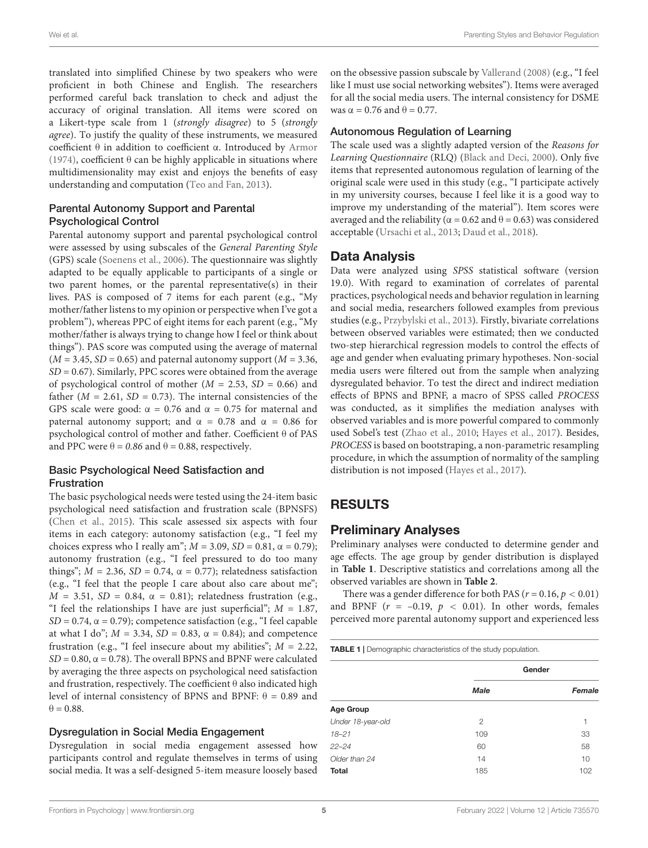translated into simplified Chinese by two speakers who were proficient in both Chinese and English. The researchers performed careful back translation to check and adjust the accuracy of original translation. All items were scored on a Likert-type scale from 1 (strongly disagree) to 5 (strongly agree). To justify the quality of these instruments, we measured coefficient θ in addition to coefficient α. Introduced by [Armor](#page-10-30) [\(1974\)](#page-10-30), coefficient  $\theta$  can be highly applicable in situations where multidimensionality may exist and enjoys the benefits of easy understanding and computation [\(Teo and Fan,](#page-11-26) [2013\)](#page-11-26).

### Parental Autonomy Support and Parental Psychological Control

Parental autonomy support and parental psychological control were assessed by using subscales of the General Parenting Style (GPS) scale [\(Soenens et al.,](#page-11-27) [2006\)](#page-11-27). The questionnaire was slightly adapted to be equally applicable to participants of a single or two parent homes, or the parental representative(s) in their lives. PAS is composed of 7 items for each parent (e.g., "My mother/father listens to my opinion or perspective when I've got a problem"), whereas PPC of eight items for each parent (e.g., "My mother/father is always trying to change how I feel or think about things"). PAS score was computed using the average of maternal  $(M = 3.45, SD = 0.65)$  and paternal autonomy support  $(M = 3.36,$  $SD = 0.67$ ). Similarly, PPC scores were obtained from the average of psychological control of mother  $(M = 2.53, SD = 0.66)$  and father ( $M = 2.61$ ,  $SD = 0.73$ ). The internal consistencies of the GPS scale were good:  $\alpha = 0.76$  and  $\alpha = 0.75$  for maternal and paternal autonomy support; and  $\alpha$  = 0.78 and  $\alpha$  = 0.86 for psychological control of mother and father. Coefficient θ of PAS and PPC were  $\theta = 0.86$  and  $\theta = 0.88$ , respectively.

#### Basic Psychological Need Satisfaction and **Frustration**

The basic psychological needs were tested using the 24-item basic psychological need satisfaction and frustration scale (BPNSFS) [\(Chen et al.,](#page-10-1) [2015\)](#page-10-1). This scale assessed six aspects with four items in each category: autonomy satisfaction (e.g., "I feel my choices express who I really am";  $M = 3.09$ ,  $SD = 0.81$ ,  $\alpha = 0.79$ ); autonomy frustration (e.g., "I feel pressured to do too many things";  $M = 2.36$ ,  $SD = 0.74$ ,  $\alpha = 0.77$ ); relatedness satisfaction (e.g., "I feel that the people I care about also care about me";  $M = 3.51$ ,  $SD = 0.84$ ,  $\alpha = 0.81$ ); relatedness frustration (e.g., "I feel the relationships I have are just superficial";  $M = 1.87$ ,  $SD = 0.74$ ,  $\alpha = 0.79$ ); competence satisfaction (e.g., "I feel capable at what I do";  $M = 3.34$ ,  $SD = 0.83$ ,  $\alpha = 0.84$ ); and competence frustration (e.g., "I feel insecure about my abilities";  $M = 2.22$ ,  $SD = 0.80$ ,  $\alpha = 0.78$ ). The overall BPNS and BPNF were calculated by averaging the three aspects on psychological need satisfaction and frustration, respectively. The coefficient  $\theta$  also indicated high level of internal consistency of BPNS and BPNF:  $θ = 0.89$  and  $\theta = 0.88$ .

### Dysregulation in Social Media Engagement

Dysregulation in social media engagement assessed how participants control and regulate themselves in terms of using social media. It was a self-designed 5-item measure loosely based

on the obsessive passion subscale by [Vallerand](#page-11-18) [\(2008\)](#page-11-18) (e.g., "I feel like I must use social networking websites"). Items were averaged for all the social media users. The internal consistency for DSME was  $\alpha = 0.76$  and  $\theta = 0.77$ .

### Autonomous Regulation of Learning

The scale used was a slightly adapted version of the Reasons for Learning Questionnaire (RLQ) [\(Black and Deci,](#page-10-31) [2000\)](#page-10-31). Only five items that represented autonomous regulation of learning of the original scale were used in this study (e.g., "I participate actively in my university courses, because I feel like it is a good way to improve my understanding of the material"). Item scores were averaged and the reliability ( $α = 0.62$  and  $θ = 0.63$ ) was considered acceptable [\(Ursachi et al.,](#page-11-28) [2013;](#page-11-28) [Daud et al.,](#page-10-32) [2018\)](#page-10-32).

## Data Analysis

Data were analyzed using SPSS statistical software (version 19.0). With regard to examination of correlates of parental practices, psychological needs and behavior regulation in learning and social media, researchers followed examples from previous studies (e.g., [Przybylski et al.,](#page-11-19) [2013\)](#page-11-19). Firstly, bivariate correlations between observed variables were estimated; then we conducted two-step hierarchical regression models to control the effects of age and gender when evaluating primary hypotheses. Non-social media users were filtered out from the sample when analyzing dysregulated behavior. To test the direct and indirect mediation effects of BPNS and BPNF, a macro of SPSS called PROCESS was conducted, as it simplifies the mediation analyses with observed variables and is more powerful compared to commonly used Sobel's test [\(Zhao et al.,](#page-11-29) [2010;](#page-11-29) [Hayes et al.,](#page-10-33) [2017\)](#page-10-33). Besides, PROCESS is based on bootstraping, a non-parametric resampling procedure, in which the assumption of normality of the sampling distribution is not imposed [\(Hayes et al.,](#page-10-33) [2017\)](#page-10-33).

# RESULTS

## Preliminary Analyses

Preliminary analyses were conducted to determine gender and age effects. The age group by gender distribution is displayed in **[Table 1](#page-5-0)**. Descriptive statistics and correlations among all the observed variables are shown in **[Table 2](#page-6-0)**.

There was a gender difference for both PAS ( $r = 0.16$ ,  $p < 0.01$ ) and BPNF  $(r = -0.19, p < 0.01)$ . In other words, females perceived more parental autonomy support and experienced less

<span id="page-5-0"></span>

|                   | Gender         |        |  |
|-------------------|----------------|--------|--|
|                   | <b>Male</b>    | Female |  |
| <b>Age Group</b>  |                |        |  |
| Under 18-year-old | $\overline{2}$ |        |  |
| $18 - 21$         | 109            | 33     |  |
| $22 - 24$         | 60             | 58     |  |
| Older than 24     | 14             | 10     |  |
| <b>Total</b>      | 185            | 102    |  |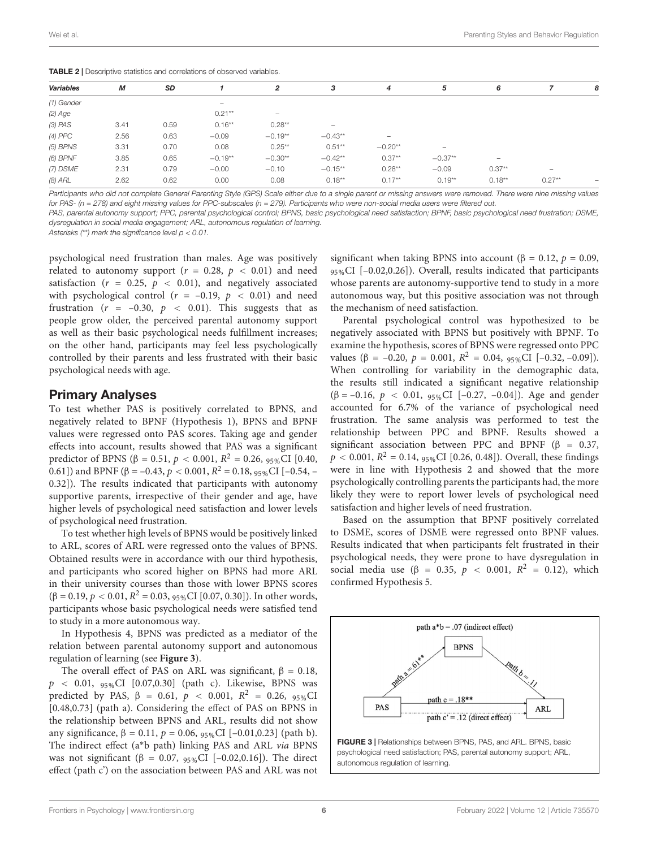<span id="page-6-0"></span>**TABLE 2 | Descriptive statistics and correlations of observed variables** 

| Variables  | М    | SD   |                          | 2                        | 3                               | 4                               | 5                        | 6                        |                   | 8                        |
|------------|------|------|--------------------------|--------------------------|---------------------------------|---------------------------------|--------------------------|--------------------------|-------------------|--------------------------|
| (1) Gender |      |      | $\overline{\phantom{0}}$ |                          |                                 |                                 |                          |                          |                   |                          |
| $(2)$ Age  |      |      | $0.21***$                | $\overline{\phantom{0}}$ |                                 |                                 |                          |                          |                   |                          |
| $(3)$ PAS  | 3.41 | 0.59 | $0.16***$                | $0.28**$                 | $\hspace{0.1mm}-\hspace{0.1mm}$ |                                 |                          |                          |                   |                          |
| (4) PPC    | 2.56 | 0.63 | $-0.09$                  | $-0.19**$                | $-0.43**$                       | $\hspace{0.1mm}-\hspace{0.1mm}$ |                          |                          |                   |                          |
| (5) BPNS   | 3.31 | 0.70 | 0.08                     | $0.25***$                | $0.51**$                        | $-0.20**$                       | $\overline{\phantom{0}}$ |                          |                   |                          |
| $(6)$ BPNF | 3.85 | 0.65 | $-0.19**$                | $-0.30**$                | $-0.42**$                       | $0.37**$                        | $-0.37**$                | $\overline{\phantom{0}}$ |                   |                          |
| (7) DSME   | 2.31 | 0.79 | $-0.00$                  | $-0.10$                  | $-0.15**$                       | $0.28***$                       | $-0.09$                  | $0.37**$                 | $\qquad \qquad -$ |                          |
| (8) ARL    | 2.62 | 0.62 | 0.00                     | 0.08                     | $0.18***$                       | $0.17**$                        | $0.19**$                 | $0.18***$                | $0.27**$          | $\overline{\phantom{0}}$ |

Participants who did not complete General Parenting Style (GPS) Scale either due to a single parent or missing answers were removed. There were nine missing values for PAS- ( $n = 278$ ) and eight missing values for PPC-subscales ( $n = 279$ ). Participants who were non-social media users were filtered out.

PAS, parental autonomy support; PPC, parental psychological control; BPNS, basic psychological need satisfaction; BPNF, basic psychological need frustration; DSME, dysregulation in social media engagement; ARL, autonomous regulation of learning.

Asterisks  $(*)$  mark the significance level  $p < 0.01$ .

psychological need frustration than males. Age was positively related to autonomy support ( $r = 0.28$ ,  $p < 0.01$ ) and need satisfaction ( $r = 0.25$ ,  $p < 0.01$ ), and negatively associated with psychological control ( $r = -0.19$ ,  $p < 0.01$ ) and need frustration ( $r = -0.30$ ,  $p < 0.01$ ). This suggests that as people grow older, the perceived parental autonomy support as well as their basic psychological needs fulfillment increases; on the other hand, participants may feel less psychologically controlled by their parents and less frustrated with their basic psychological needs with age.

### Primary Analyses

To test whether PAS is positively correlated to BPNS, and negatively related to BPNF (Hypothesis 1), BPNS and BPNF values were regressed onto PAS scores. Taking age and gender effects into account, results showed that PAS was a significant predictor of BPNS (β = 0.51,  $p < 0.001$ ,  $R^2 = 0.26$ ,  $95\%$ CI [0.40, 0.61]) and BPNF (β = –0.43,  $p < 0.001$ ,  $R^2 = 0.18$ ,  $95\%$ CI [–0.54, – 0.32]). The results indicated that participants with autonomy supportive parents, irrespective of their gender and age, have higher levels of psychological need satisfaction and lower levels of psychological need frustration.

To test whether high levels of BPNS would be positively linked to ARL, scores of ARL were regressed onto the values of BPNS. Obtained results were in accordance with our third hypothesis, and participants who scored higher on BPNS had more ARL in their university courses than those with lower BPNS scores (β = 0.19,  $p < 0.01$ ,  $R^2 = 0.03$ ,  $95%$ CI [0.07, 0.30]). In other words, participants whose basic psychological needs were satisfied tend to study in a more autonomous way.

In Hypothesis 4, BPNS was predicted as a mediator of the relation between parental autonomy support and autonomous regulation of learning (see **[Figure 3](#page-6-1)**).

The overall effect of PAS on ARL was significant,  $\beta = 0.18$ ,  $p \sim 0.01, 95\%$ CI [0.07,0.30] (path c). Likewise, BPNS was predicted by PAS, β = 0.61,  $p$  < 0.001,  $R^2$  = 0.26,  $95\%$ CI [0.48,0.73] (path a). Considering the effect of PAS on BPNS in the relationship between BPNS and ARL, results did not show any significance, β = 0.11,  $p = 0.06$ ,  $95\%$ CI [-0.01,0.23] (path b). The indirect effect (a∗b path) linking PAS and ARL via BPNS was not significant (β = 0.07,  $95\%$ CI [-0.02,0.16]). The direct effect (path c') on the association between PAS and ARL was not significant when taking BPNS into account ( $\beta = 0.12$ ,  $p = 0.09$ , 95%CI [–0.02,0.26]). Overall, results indicated that participants whose parents are autonomy-supportive tend to study in a more autonomous way, but this positive association was not through the mechanism of need satisfaction.

Parental psychological control was hypothesized to be negatively associated with BPNS but positively with BPNF. To examine the hypothesis, scores of BPNS were regressed onto PPC values (β = -0.20,  $p = 0.001$ ,  $R^2 = 0.04$ ,  $95\%$ CI [-0.32, -0.09]). When controlling for variability in the demographic data, the results still indicated a significant negative relationship (β = –0.16, p < 0.01, 95%CI [–0.27, –0.04]). Age and gender accounted for 6.7% of the variance of psychological need frustration. The same analysis was performed to test the relationship between PPC and BPNF. Results showed a significant association between PPC and BPNF ( $\beta$  = 0.37,  $p < 0.001$ ,  $R^2 = 0.14$ ,  $95\%$ CI [0.26, 0.48]). Overall, these findings were in line with Hypothesis 2 and showed that the more psychologically controlling parents the participants had, the more likely they were to report lower levels of psychological need satisfaction and higher levels of need frustration.

Based on the assumption that BPNF positively correlated to DSME, scores of DSME were regressed onto BPNF values. Results indicated that when participants felt frustrated in their psychological needs, they were prone to have dysregulation in social media use (β = 0.35,  $p$  < 0.001,  $R^2$  = 0.12), which confirmed Hypothesis 5.

<span id="page-6-1"></span>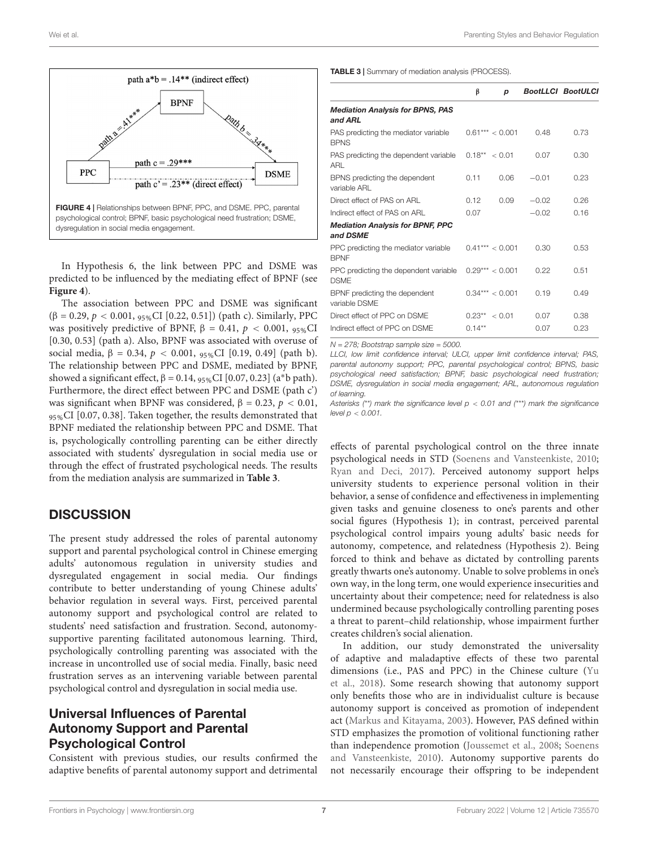

<span id="page-7-0"></span>In Hypothesis 6, the link between PPC and DSME was predicted to be influenced by the mediating effect of BPNF (see **[Figure 4](#page-7-0)**).

The association between PPC and DSME was significant  $(β = 0.29, p < 0.001, 95%$ CI [0.22, 0.51]) (path c). Similarly, PPC was positively predictive of BPNF,  $β = 0.41$ ,  $p < 0.001$ ,  $95%$ CI [0.30, 0.53] (path a). Also, BPNF was associated with overuse of social media,  $β = 0.34$ ,  $p < 0.001$ ,  $95%$ CI [0.19, 0.49] (path b). The relationship between PPC and DSME, mediated by BPNF, showed a significant effect,  $β = 0.14$ ,  $95%$ CI [0.07, 0.23] (a<sup>\*</sup>b path). Furthermore, the direct effect between PPC and DSME (path c') was significant when BPNF was considered,  $β = 0.23, p < 0.01$ , 95%CI [0.07, 0.38]. Taken together, the results demonstrated that BPNF mediated the relationship between PPC and DSME. That is, psychologically controlling parenting can be either directly associated with students' dysregulation in social media use or through the effect of frustrated psychological needs. The results from the mediation analysis are summarized in **[Table 3](#page-7-1)**.

# **DISCUSSION**

The present study addressed the roles of parental autonomy support and parental psychological control in Chinese emerging adults' autonomous regulation in university studies and dysregulated engagement in social media. Our findings contribute to better understanding of young Chinese adults' behavior regulation in several ways. First, perceived parental autonomy support and psychological control are related to students' need satisfaction and frustration. Second, autonomysupportive parenting facilitated autonomous learning. Third, psychologically controlling parenting was associated with the increase in uncontrolled use of social media. Finally, basic need frustration serves as an intervening variable between parental psychological control and dysregulation in social media use.

## Universal Influences of Parental Autonomy Support and Parental Psychological Control

Consistent with previous studies, our results confirmed the adaptive benefits of parental autonomy support and detrimental

<span id="page-7-1"></span>TABLE 3 | Summary of mediation analysis (PROCESS).

|                                                      | β         | p                 |         | <b>BootLLCI BootULCI</b> |
|------------------------------------------------------|-----------|-------------------|---------|--------------------------|
| <b>Mediation Analysis for BPNS, PAS</b><br>and ARL   |           |                   |         |                          |
| PAS predicting the mediator variable<br><b>BPNS</b>  |           | $0.61***<0.001$   | 0.48    | 0.73                     |
| PAS predicting the dependent variable<br>ARL         |           | $0.18**$ < 0.01   | 0.07    | 0.30                     |
| BPNS predicting the dependent<br>variable ARL        | 0.11      | 0.06              | $-0.01$ | 0.23                     |
| Direct effect of PAS on ARL                          | 0.12      | 0.09              | $-0.02$ | 0.26                     |
| Indirect effect of PAS on ARL                        | 0.07      |                   | $-0.02$ | 0.16                     |
| <b>Mediation Analysis for BPNF, PPC</b><br>and DSME  |           |                   |         |                          |
| PPC predicting the mediator variable<br><b>BPNF</b>  |           | $0.41***$ < 0.001 | 0.30    | 0.53                     |
| PPC predicting the dependent variable<br><b>DSME</b> |           | $0.29***$ < 0.001 | 0.22    | 0.51                     |
| BPNF predicting the dependent<br>variable DSMF       |           | $0.34***$ < 0.001 | 0.19    | 0.49                     |
| Direct effect of PPC on DSME                         |           | $0.23** < 0.01$   | 0.07    | 0.38                     |
| Indirect effect of PPC on DSME                       | $0.14***$ |                   | 0.07    | 0.23                     |

 $N = 278$ ; Bootstrap sample size = 5000.

LLCI, low limit confidence interval; ULCI, upper limit confidence interval; PAS, parental autonomy support; PPC, parental psychological control; BPNS, basic psychological need satisfaction; BPNF, basic psychological need frustration; DSME, dysregulation in social media engagement; ARL, autonomous regulation of learning.

Asterisks (\*\*) mark the significance level  $p < 0.01$  and (\*\*\*) mark the significance level  $p < 0.001$ .

effects of parental psychological control on the three innate psychological needs in STD [\(Soenens and Vansteenkiste,](#page-11-2) [2010;](#page-11-2) [Ryan and Deci,](#page-11-0) [2017\)](#page-11-0). Perceived autonomy support helps university students to experience personal volition in their behavior, a sense of confidence and effectiveness in implementing given tasks and genuine closeness to one's parents and other social figures (Hypothesis 1); in contrast, perceived parental psychological control impairs young adults' basic needs for autonomy, competence, and relatedness (Hypothesis 2). Being forced to think and behave as dictated by controlling parents greatly thwarts one's autonomy. Unable to solve problems in one's own way, in the long term, one would experience insecurities and uncertainty about their competence; need for relatedness is also undermined because psychologically controlling parenting poses a threat to parent–child relationship, whose impairment further creates children's social alienation.

In addition, our study demonstrated the universality of adaptive and maladaptive effects of these two parental dimensions (i.e., PAS and PPC) in the Chinese culture [\(Yu](#page-11-30) [et al.,](#page-11-30) [2018\)](#page-11-30). Some research showing that autonomy support only benefits those who are in individualist culture is because autonomy support is conceived as promotion of independent act [\(Markus and Kitayama,](#page-11-31) [2003\)](#page-11-31). However, PAS defined within STD emphasizes the promotion of volitional functioning rather than independence promotion [\(Joussemet et al.,](#page-10-18) [2008;](#page-10-18) [Soenens](#page-11-2) [and Vansteenkiste,](#page-11-2) [2010\)](#page-11-2). Autonomy supportive parents do not necessarily encourage their offspring to be independent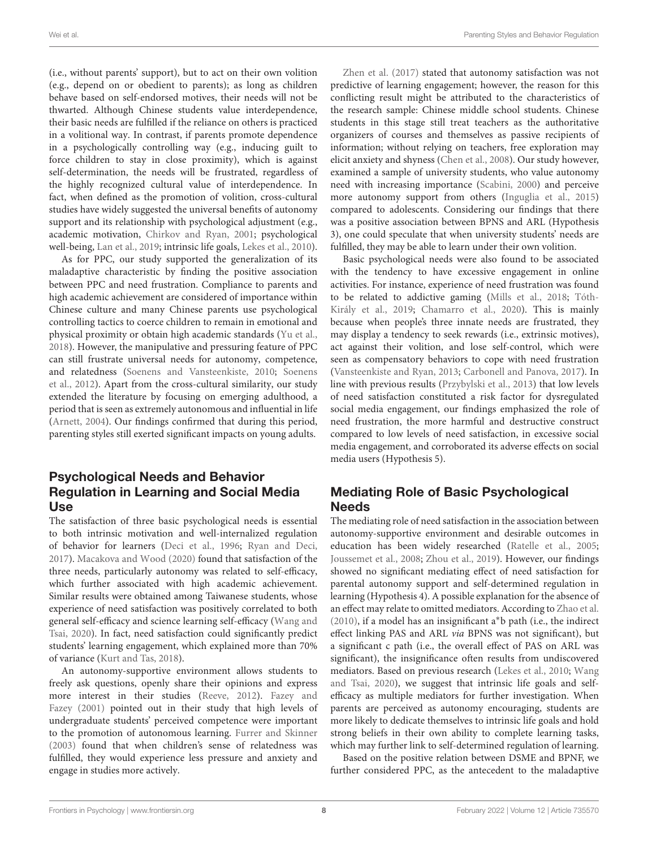(i.e., without parents' support), but to act on their own volition (e.g., depend on or obedient to parents); as long as children behave based on self-endorsed motives, their needs will not be thwarted. Although Chinese students value interdependence, their basic needs are fulfilled if the reliance on others is practiced in a volitional way. In contrast, if parents promote dependence in a psychologically controlling way (e.g., inducing guilt to force children to stay in close proximity), which is against self-determination, the needs will be frustrated, regardless of the highly recognized cultural value of interdependence. In fact, when defined as the promotion of volition, cross-cultural studies have widely suggested the universal benefits of autonomy support and its relationship with psychological adjustment (e.g., academic motivation, [Chirkov and Ryan,](#page-10-34) [2001;](#page-10-34) psychological well-being, [Lan et al.,](#page-10-35) [2019;](#page-10-35) intrinsic life goals, [Lekes et al.,](#page-10-36) [2010\)](#page-10-36).

As for PPC, our study supported the generalization of its maladaptive characteristic by finding the positive association between PPC and need frustration. Compliance to parents and high academic achievement are considered of importance within Chinese culture and many Chinese parents use psychological controlling tactics to coerce children to remain in emotional and physical proximity or obtain high academic standards [\(Yu et al.,](#page-11-30) [2018\)](#page-11-30). However, the manipulative and pressuring feature of PPC can still frustrate universal needs for autonomy, competence, and relatedness [\(Soenens and Vansteenkiste,](#page-11-2) [2010;](#page-11-2) [Soenens](#page-11-32) [et al.,](#page-11-32) [2012\)](#page-11-32). Apart from the cross-cultural similarity, our study extended the literature by focusing on emerging adulthood, a period that is seen as extremely autonomous and influential in life [\(Arnett,](#page-10-6) [2004\)](#page-10-6). Our findings confirmed that during this period, parenting styles still exerted significant impacts on young adults.

## Psychological Needs and Behavior Regulation in Learning and Social Media Use

The satisfaction of three basic psychological needs is essential to both intrinsic motivation and well-internalized regulation of behavior for learners [\(Deci et al.,](#page-10-17) [1996;](#page-10-17) [Ryan and Deci,](#page-11-0) [2017\)](#page-11-0). [Macakova and Wood](#page-11-33) [\(2020\)](#page-11-33) found that satisfaction of the three needs, particularly autonomy was related to self-efficacy, which further associated with high academic achievement. Similar results were obtained among Taiwanese students, whose experience of need satisfaction was positively correlated to both general self-efficacy and science learning self-efficacy [\(Wang and](#page-11-13) [Tsai,](#page-11-13) [2020\)](#page-11-13). In fact, need satisfaction could significantly predict students' learning engagement, which explained more than 70% of variance [\(Kurt and Tas,](#page-10-37) [2018\)](#page-10-37).

An autonomy-supportive environment allows students to freely ask questions, openly share their opinions and express more interest in their studies [\(Reeve,](#page-11-34) [2012\)](#page-11-34). [Fazey and](#page-10-38) [Fazey](#page-10-38) [\(2001\)](#page-10-38) pointed out in their study that high levels of undergraduate students' perceived competence were important to the promotion of autonomous learning. [Furrer and Skinner](#page-10-39) [\(2003\)](#page-10-39) found that when children's sense of relatedness was fulfilled, they would experience less pressure and anxiety and engage in studies more actively.

[Zhen et al.](#page-11-12) [\(2017\)](#page-11-12) stated that autonomy satisfaction was not predictive of learning engagement; however, the reason for this conflicting result might be attributed to the characteristics of the research sample: Chinese middle school students. Chinese students in this stage still treat teachers as the authoritative organizers of courses and themselves as passive recipients of information; without relying on teachers, free exploration may elicit anxiety and shyness [\(Chen et al.,](#page-10-40) [2008\)](#page-10-40). Our study however, examined a sample of university students, who value autonomy need with increasing importance [\(Scabini,](#page-11-35) [2000\)](#page-11-35) and perceive more autonomy support from others [\(Inguglia et al.,](#page-10-14) [2015\)](#page-10-14) compared to adolescents. Considering our findings that there was a positive association between BPNS and ARL (Hypothesis 3), one could speculate that when university students' needs are fulfilled, they may be able to learn under their own volition.

Basic psychological needs were also found to be associated with the tendency to have excessive engagement in online activities. For instance, experience of need frustration was found to be related to addictive gaming [\(Mills et al.,](#page-11-22) [2018;](#page-11-22) [Tóth-](#page-11-23)[Király et al.,](#page-11-23) [2019;](#page-11-23) [Chamarro et al.,](#page-10-26) [2020\)](#page-10-26). This is mainly because when people's three innate needs are frustrated, they may display a tendency to seek rewards (i.e., extrinsic motives), act against their volition, and lose self-control, which were seen as compensatory behaviors to cope with need frustration [\(Vansteenkiste and Ryan,](#page-11-1) [2013;](#page-11-1) [Carbonell and Panova,](#page-10-41) [2017\)](#page-10-41). In line with previous results [\(Przybylski et al.,](#page-11-19) [2013\)](#page-11-19) that low levels of need satisfaction constituted a risk factor for dysregulated social media engagement, our findings emphasized the role of need frustration, the more harmful and destructive construct compared to low levels of need satisfaction, in excessive social media engagement, and corroborated its adverse effects on social media users (Hypothesis 5).

## Mediating Role of Basic Psychological **Needs**

The mediating role of need satisfaction in the association between autonomy-supportive environment and desirable outcomes in education has been widely researched [\(Ratelle et al.,](#page-11-14) [2005;](#page-11-14) [Joussemet et al.,](#page-10-18) [2008;](#page-10-18) [Zhou et al.,](#page-12-0) [2019\)](#page-12-0). However, our findings showed no significant mediating effect of need satisfaction for parental autonomy support and self-determined regulation in learning (Hypothesis 4). A possible explanation for the absence of an effect may relate to omitted mediators. According to [Zhao et al.](#page-11-29) [\(2010\)](#page-11-29), if a model has an insignificant a∗b path (i.e., the indirect effect linking PAS and ARL via BPNS was not significant), but a significant c path (i.e., the overall effect of PAS on ARL was significant), the insignificance often results from undiscovered mediators. Based on previous research [\(Lekes et al.,](#page-10-36) [2010;](#page-10-36) [Wang](#page-11-13) [and Tsai,](#page-11-13) [2020\)](#page-11-13), we suggest that intrinsic life goals and selfefficacy as multiple mediators for further investigation. When parents are perceived as autonomy encouraging, students are more likely to dedicate themselves to intrinsic life goals and hold strong beliefs in their own ability to complete learning tasks, which may further link to self-determined regulation of learning.

Based on the positive relation between DSME and BPNF, we further considered PPC, as the antecedent to the maladaptive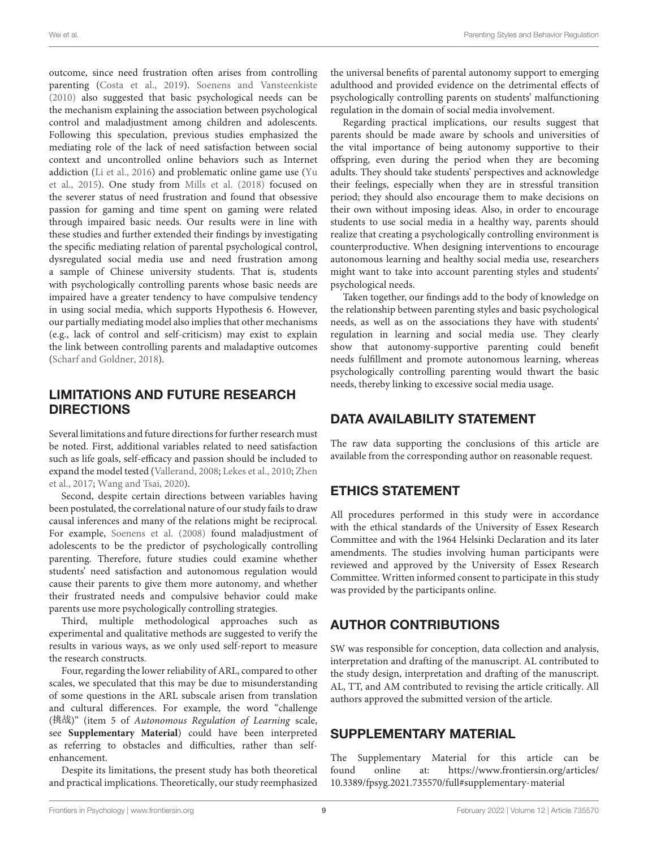outcome, since need frustration often arises from controlling parenting [\(Costa et al.,](#page-10-16) [2019\)](#page-10-16). [Soenens and Vansteenkiste](#page-11-2) [\(2010\)](#page-11-2) also suggested that basic psychological needs can be the mechanism explaining the association between psychological control and maladjustment among children and adolescents. Following this speculation, previous studies emphasized the mediating role of the lack of need satisfaction between social context and uncontrolled online behaviors such as Internet addiction [\(Li et al.,](#page-10-25) [2016\)](#page-10-25) and problematic online game use [\(Yu](#page-11-21) [et al.,](#page-11-21) [2015\)](#page-11-21). One study from [Mills et al.](#page-11-22) [\(2018\)](#page-11-22) focused on the severer status of need frustration and found that obsessive passion for gaming and time spent on gaming were related through impaired basic needs. Our results were in line with these studies and further extended their findings by investigating the specific mediating relation of parental psychological control, dysregulated social media use and need frustration among a sample of Chinese university students. That is, students with psychologically controlling parents whose basic needs are impaired have a greater tendency to have compulsive tendency in using social media, which supports Hypothesis 6. However, our partially mediating model also implies that other mechanisms (e.g., lack of control and self-criticism) may exist to explain the link between controlling parents and maladaptive outcomes [\(Scharf and Goldner,](#page-11-36) [2018\)](#page-11-36).

## LIMITATIONS AND FUTURE RESEARCH DIRECTIONS

Several limitations and future directions for further research must be noted. First, additional variables related to need satisfaction such as life goals, self-efficacy and passion should be included to expand the model tested [\(Vallerand,](#page-11-18) [2008;](#page-11-18) [Lekes et al.,](#page-10-36) [2010;](#page-10-36) [Zhen](#page-11-12) [et al.,](#page-11-12) [2017;](#page-11-12) [Wang and Tsai,](#page-11-13) [2020\)](#page-11-13).

Second, despite certain directions between variables having been postulated, the correlational nature of our study fails to draw causal inferences and many of the relations might be reciprocal. For example, [Soenens et al.](#page-11-37) [\(2008\)](#page-11-37) found maladjustment of adolescents to be the predictor of psychologically controlling parenting. Therefore, future studies could examine whether students' need satisfaction and autonomous regulation would cause their parents to give them more autonomy, and whether their frustrated needs and compulsive behavior could make parents use more psychologically controlling strategies.

Third, multiple methodological approaches such as experimental and qualitative methods are suggested to verify the results in various ways, as we only used self-report to measure the research constructs.

Four, regarding the lower reliability of ARL, compared to other scales, we speculated that this may be due to misunderstanding of some questions in the ARL subscale arisen from translation and cultural differences. For example, the word "challenge  $($ 挑战)" (item 5 of Autonomous Regulation of Learning scale, see **[Supplementary Material](#page-9-0)**) could have been interpreted as referring to obstacles and difficulties, rather than selfenhancement.

Despite its limitations, the present study has both theoretical and practical implications. Theoretically, our study reemphasized the universal benefits of parental autonomy support to emerging adulthood and provided evidence on the detrimental effects of psychologically controlling parents on students' malfunctioning regulation in the domain of social media involvement.

Regarding practical implications, our results suggest that parents should be made aware by schools and universities of the vital importance of being autonomy supportive to their offspring, even during the period when they are becoming adults. They should take students' perspectives and acknowledge their feelings, especially when they are in stressful transition period; they should also encourage them to make decisions on their own without imposing ideas. Also, in order to encourage students to use social media in a healthy way, parents should realize that creating a psychologically controlling environment is counterproductive. When designing interventions to encourage autonomous learning and healthy social media use, researchers might want to take into account parenting styles and students' psychological needs.

Taken together, our findings add to the body of knowledge on the relationship between parenting styles and basic psychological needs, as well as on the associations they have with students' regulation in learning and social media use. They clearly show that autonomy-supportive parenting could benefit needs fulfillment and promote autonomous learning, whereas psychologically controlling parenting would thwart the basic needs, thereby linking to excessive social media usage.

## DATA AVAILABILITY STATEMENT

The raw data supporting the conclusions of this article are available from the corresponding author on reasonable request.

# ETHICS STATEMENT

All procedures performed in this study were in accordance with the ethical standards of the University of Essex Research Committee and with the 1964 Helsinki Declaration and its later amendments. The studies involving human participants were reviewed and approved by the University of Essex Research Committee. Written informed consent to participate in this study was provided by the participants online.

# AUTHOR CONTRIBUTIONS

SW was responsible for conception, data collection and analysis, interpretation and drafting of the manuscript. AL contributed to the study design, interpretation and drafting of the manuscript. AL, TT, and AM contributed to revising the article critically. All authors approved the submitted version of the article.

## <span id="page-9-0"></span>SUPPLEMENTARY MATERIAL

The Supplementary Material for this article can be found online at: [https://www.frontiersin.org/articles/](https://www.frontiersin.org/articles/10.3389/fpsyg.2021.735570/full#supplementary-material) [10.3389/fpsyg.2021.735570/full#supplementary-material](https://www.frontiersin.org/articles/10.3389/fpsyg.2021.735570/full#supplementary-material)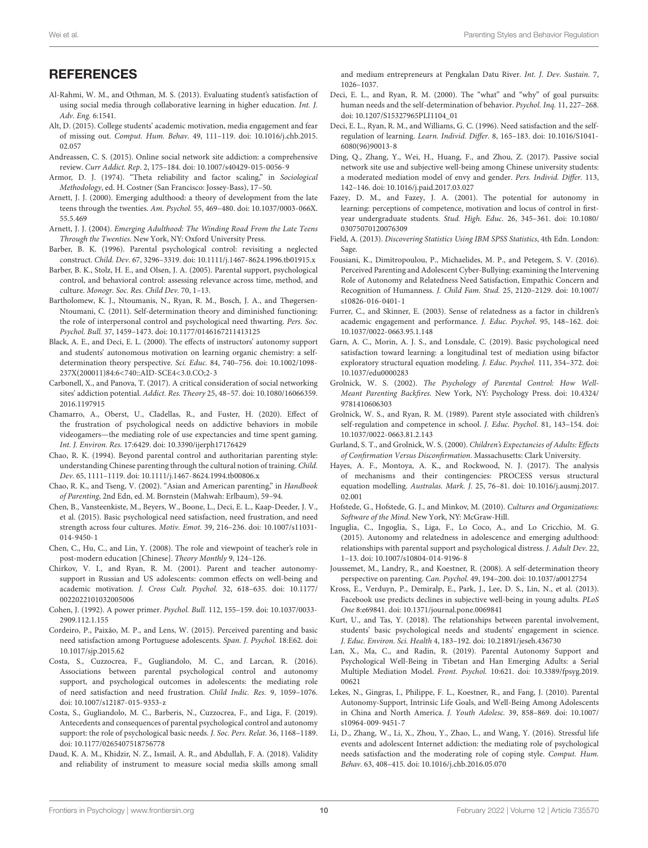# **REFERENCES**

- <span id="page-10-21"></span>Al-Rahmi, W. M., and Othman, M. S. (2013). Evaluating student's satisfaction of using social media through collaborative learning in higher education. Int. J. Adv. Eng. 6:1541.
- <span id="page-10-24"></span>Alt, D. (2015). College students' academic motivation, media engagement and fear of missing out. Comput. Hum. Behav. 49, 111–119. [doi: 10.1016/j.chb.2015.](https://doi.org/10.1016/j.chb.2015.02.057) [02.057](https://doi.org/10.1016/j.chb.2015.02.057)
- <span id="page-10-22"></span>Andreassen, C. S. (2015). Online social network site addiction: a comprehensive review. Curr Addict. Rep. 2, 175–184. [doi: 10.1007/s40429-015-0056-9](https://doi.org/10.1007/s40429-015-0056-9)
- <span id="page-10-30"></span>Armor, D. J. (1974). "Theta reliability and factor scaling," in Sociological Methodology, ed. H. Costner (San Francisco: Jossey-Bass), 17–50.
- <span id="page-10-20"></span>Arnett, J. J. (2000). Emerging adulthood: a theory of development from the late teens through the twenties. Am. Psychol. 55, 469–480. [doi: 10.1037/0003-066X.](https://doi.org/10.1037/0003-066X.55.5.469) [55.5.469](https://doi.org/10.1037/0003-066X.55.5.469)
- <span id="page-10-6"></span>Arnett, J. J. (2004). Emerging Adulthood: The Winding Road From the Late Teens Through the Twenties. New York, NY: Oxford University Press.
- <span id="page-10-5"></span>Barber, B. K. (1996). Parental psychological control: revisiting a neglected construct. Child. Dev. 67, 3296–3319. [doi: 10.1111/j.1467-8624.1996.tb01915.x](https://doi.org/10.1111/j.1467-8624.1996.tb01915.x)
- <span id="page-10-15"></span>Barber, B. K., Stolz, H. E., and Olsen, J. A. (2005). Parental support, psychological control, and behavioral control: assessing relevance across time, method, and culture. Monogr. Soc. Res. Child Dev. 70, 1–13.
- <span id="page-10-3"></span>Bartholomew, K. J., Ntoumanis, N., Ryan, R. M., Bosch, J. A., and Thøgersen-Ntoumani, C. (2011). Self-determination theory and diminished functioning: the role of interpersonal control and psychological need thwarting. Pers. Soc. Psychol. Bull. 37, 1459–1473. [doi: 10.1177/0146167211413125](https://doi.org/10.1177/0146167211413125)
- <span id="page-10-31"></span>Black, A. E., and Deci, E. L. (2000). The effects of instructors' autonomy support and students' autonomous motivation on learning organic chemistry: a selfdetermination theory perspective. Sci. Educ. 84, 740–756. [doi: 10.1002/1098-](https://doi.org/10.1002/1098-237X(200011)84:6<740::AID-SCE4<3.0.CO;2-3) [237X\(200011\)84:6<740::AID-SCE4<3.0.CO;2-3](https://doi.org/10.1002/1098-237X(200011)84:6<740::AID-SCE4<3.0.CO;2-3)
- <span id="page-10-41"></span>Carbonell, X., and Panova, T. (2017). A critical consideration of social networking sites' addiction potential. Addict. Res. Theory 25, 48–57. [doi: 10.1080/16066359.](https://doi.org/10.1080/16066359.2016.1197915) [2016.1197915](https://doi.org/10.1080/16066359.2016.1197915)
- <span id="page-10-26"></span>Chamarro, A., Oberst, U., Cladellas, R., and Fuster, H. (2020). Effect of the frustration of psychological needs on addictive behaviors in mobile videogamers—the mediating role of use expectancies and time spent gaming. Int. J. Environ. Res. 17:6429. [doi: 10.3390/ijerph17176429](https://doi.org/10.3390/ijerph17176429)
- <span id="page-10-7"></span>Chao, R. K. (1994). Beyond parental control and authoritarian parenting style: understanding Chinese parenting through the cultural notion of training. Child. Dev. 65, 1111–1119. [doi: 10.1111/j.1467-8624.1994.tb00806.x](https://doi.org/10.1111/j.1467-8624.1994.tb00806.x)
- <span id="page-10-27"></span>Chao, R. K., and Tseng, V. (2002). "Asian and American parenting," in Handbook of Parenting, 2nd Edn, ed. M. Bornstein (Mahwah: Erlbaum), 59–94.
- <span id="page-10-1"></span>Chen, B., Vansteenkiste, M., Beyers, W., Boone, L., Deci, E. L., Kaap-Deeder, J. V., et al. (2015). Basic psychological need satisfaction, need frustration, and need strength across four cultures. Motiv. Emot. 39, 216–236. [doi: 10.1007/s11031-](https://doi.org/10.1007/s11031-014-9450-1) [014-9450-1](https://doi.org/10.1007/s11031-014-9450-1)
- <span id="page-10-40"></span>Chen, C., Hu, C., and Lin, Y. (2008). The role and viewpoint of teacher's role in post-modern education [Chinese]. Theory Monthly 9, 124–126.
- <span id="page-10-34"></span>Chirkov, V. I., and Ryan, R. M. (2001). Parent and teacher autonomysupport in Russian and US adolescents: common effects on well-being and academic motivation. J. Cross Cult. Psychol. 32, 618–635. [doi: 10.1177/](https://doi.org/10.1177/0022022101032005006) [0022022101032005006](https://doi.org/10.1177/0022022101032005006)
- <span id="page-10-29"></span>Cohen, J. (1992). A power primer. Psychol. Bull. 112, 155–159. [doi: 10.1037/0033-](https://doi.org/10.1037/0033-2909.112.1.155) [2909.112.1.155](https://doi.org/10.1037/0033-2909.112.1.155)
- <span id="page-10-13"></span>Cordeiro, P., Paixão, M. P., and Lens, W. (2015). Perceived parenting and basic need satisfaction among Portuguese adolescents. Span. J. Psychol. 18:E62. [doi:](https://doi.org/10.1017/sjp.2015.62) [10.1017/sjp.2015.62](https://doi.org/10.1017/sjp.2015.62)
- <span id="page-10-2"></span>Costa, S., Cuzzocrea, F., Gugliandolo, M. C., and Larcan, R. (2016). Associations between parental psychological control and autonomy support, and psychological outcomes in adolescents: the mediating role of need satisfaction and need frustration. Child Indic. Res. 9, 1059–1076. [doi: 10.1007/s12187-015-9353-z](https://doi.org/10.1007/s12187-015-9353-z)
- <span id="page-10-16"></span>Costa, S., Gugliandolo, M. C., Barberis, N., Cuzzocrea, F., and Liga, F. (2019). Antecedents and consequences of parental psychological control and autonomy support: the role of psychological basic needs. J. Soc. Pers. Relat. 36, 1168–1189. [doi: 10.1177/0265407518756778](https://doi.org/10.1177/0265407518756778)
- <span id="page-10-32"></span>Daud, K. A. M., Khidzir, N. Z., Ismail, A. R., and Abdullah, F. A. (2018). Validity and reliability of instrument to measure social media skills among small

and medium entrepreneurs at Pengkalan Datu River. Int. J. Dev. Sustain. 7, 1026–1037.

- <span id="page-10-0"></span>Deci, E. L., and Ryan, R. M. (2000). The "what" and "why" of goal pursuits: human needs and the self-determination of behavior. Psychol. Inq. 11, 227–268. [doi: 10.1207/S15327965PLI1104\\_01](https://doi.org/10.1207/S15327965PLI1104_01)
- <span id="page-10-17"></span>Deci, E. L., Ryan, R. M., and Williams, G. C. (1996). Need satisfaction and the selfregulation of learning. Learn. Individ. Differ. 8, 165–183. [doi: 10.1016/S1041-](https://doi.org/10.1016/S1041-6080(96)90013-8) [6080\(96\)90013-8](https://doi.org/10.1016/S1041-6080(96)90013-8)
- <span id="page-10-9"></span>Ding, Q., Zhang, Y., Wei, H., Huang, F., and Zhou, Z. (2017). Passive social network site use and subjective well-being among Chinese university students: a moderated mediation model of envy and gender. Pers. Individ. Differ. 113, 142–146. [doi: 10.1016/j.paid.2017.03.027](https://doi.org/10.1016/j.paid.2017.03.027)
- <span id="page-10-38"></span>Fazey, D. M., and Fazey, J. A. (2001). The potential for autonomy in learning: perceptions of competence, motivation and locus of control in firstyear undergraduate students. Stud. High. Educ. 26, 345–361. [doi: 10.1080/](https://doi.org/10.1080/03075070120076309) [03075070120076309](https://doi.org/10.1080/03075070120076309)
- <span id="page-10-28"></span>Field, A. (2013). Discovering Statistics Using IBM SPSS Statistics, 4th Edn. London: Sage.
- <span id="page-10-12"></span>Fousiani, K., Dimitropoulou, P., Michaelides, M. P., and Petegem, S. V. (2016). Perceived Parenting and Adolescent Cyber-Bullying: examining the Intervening Role of Autonomy and Relatedness Need Satisfaction, Empathic Concern and Recognition of Humanness. J. Child Fam. Stud. 25, 2120–2129. [doi: 10.1007/](https://doi.org/10.1007/s10826-016-0401-1) [s10826-016-0401-1](https://doi.org/10.1007/s10826-016-0401-1)
- <span id="page-10-39"></span>Furrer, C., and Skinner, E. (2003). Sense of relatedness as a factor in children's academic engagement and performance. J. Educ. Psychol. 95, 148–162. [doi:](https://doi.org/10.1037/0022-0663.95.1.148) [10.1037/0022-0663.95.1.148](https://doi.org/10.1037/0022-0663.95.1.148)
- <span id="page-10-19"></span>Garn, A. C., Morin, A. J. S., and Lonsdale, C. (2019). Basic psychological need satisfaction toward learning: a longitudinal test of mediation using bifactor exploratory structural equation modeling. J. Educ. Psychol. 111, 354–372. [doi:](https://doi.org/10.1037/edu0000283) [10.1037/edu0000283](https://doi.org/10.1037/edu0000283)
- <span id="page-10-10"></span>Grolnick, W. S. (2002). The Psychology of Parental Control: How Well-Meant Parenting Backfires. New York, NY: Psychology Press. [doi: 10.4324/](https://doi.org/10.4324/9781410606303) [9781410606303](https://doi.org/10.4324/9781410606303)
- <span id="page-10-4"></span>Grolnick, W. S., and Ryan, R. M. (1989). Parent style associated with children's self-regulation and competence in school. J. Educ. Psychol. 81, 143–154. [doi:](https://doi.org/10.1037/0022-0663.81.2.143) [10.1037/0022-0663.81.2.143](https://doi.org/10.1037/0022-0663.81.2.143)
- <span id="page-10-11"></span>Gurland, S. T., and Grolnick, W. S. (2000). Children's Expectancies of Adults: Effects of Confirmation Versus Disconfirmation. Massachusetts: Clark University.
- <span id="page-10-33"></span>Hayes, A. F., Montoya, A. K., and Rockwood, N. J. (2017). The analysis of mechanisms and their contingencies: PROCESS versus structural equation modelling. Australas. Mark. J. 25, 76–81. [doi: 10.1016/j.ausmj.2017.](https://doi.org/10.1016/j.ausmj.2017.02.001) [02.001](https://doi.org/10.1016/j.ausmj.2017.02.001)
- <span id="page-10-8"></span>Hofstede, G., Hofstede, G. J., and Minkov, M. (2010). Cultures and Organizations: Software of the Mind. New York, NY: McGraw-Hill.
- <span id="page-10-14"></span>Inguglia, C., Ingoglia, S., Liga, F., Lo Coco, A., and Lo Cricchio, M. G. (2015). Autonomy and relatedness in adolescence and emerging adulthood: relationships with parental support and psychological distress. J. Adult Dev. 22, 1–13. [doi: 10.1007/s10804-014-9196-8](https://doi.org/10.1007/s10804-014-9196-8)
- <span id="page-10-18"></span>Joussemet, M., Landry, R., and Koestner, R. (2008). A self-determination theory perspective on parenting. Can. Psychol. 49, 194–200. [doi: 10.1037/a0012754](https://doi.org/10.1037/a0012754)
- <span id="page-10-23"></span>Kross, E., Verduyn, P., Demiralp, E., Park, J., Lee, D. S., Lin, N., et al. (2013). Facebook use predicts declines in subjective well-being in young adults. PLoS One 8:e69841. [doi: 10.1371/journal.pone.0069841](https://doi.org/10.1371/journal.pone.0069841)
- <span id="page-10-37"></span>Kurt, U., and Tas, Y. (2018). The relationships between parental involvement, students' basic psychological needs and students' engagement in science. J. Educ. Environ. Sci. Health 4, 183–192. [doi: 10.21891/jeseh.436730](https://doi.org/10.21891/jeseh.436730)
- <span id="page-10-35"></span>Lan, X., Ma, C., and Radin, R. (2019). Parental Autonomy Support and Psychological Well-Being in Tibetan and Han Emerging Adults: a Serial Multiple Mediation Model. Front. Psychol. 10:621. [doi: 10.3389/fpsyg.2019.](https://doi.org/10.3389/fpsyg.2019.00621) [00621](https://doi.org/10.3389/fpsyg.2019.00621)
- <span id="page-10-36"></span>Lekes, N., Gingras, I., Philippe, F. L., Koestner, R., and Fang, J. (2010). Parental Autonomy-Support, Intrinsic Life Goals, and Well-Being Among Adolescents in China and North America. J. Youth Adolesc. 39, 858–869. [doi: 10.1007/](https://doi.org/10.1007/s10964-009-9451-7) [s10964-009-9451-7](https://doi.org/10.1007/s10964-009-9451-7)
- <span id="page-10-25"></span>Li, D., Zhang, W., Li, X., Zhou, Y., Zhao, L., and Wang, Y. (2016). Stressful life events and adolescent Internet addiction: the mediating role of psychological needs satisfaction and the moderating role of coping style. Comput. Hum. Behav. 63, 408–415. [doi: 10.1016/j.chb.2016.05.070](https://doi.org/10.1016/j.chb.2016.05.070)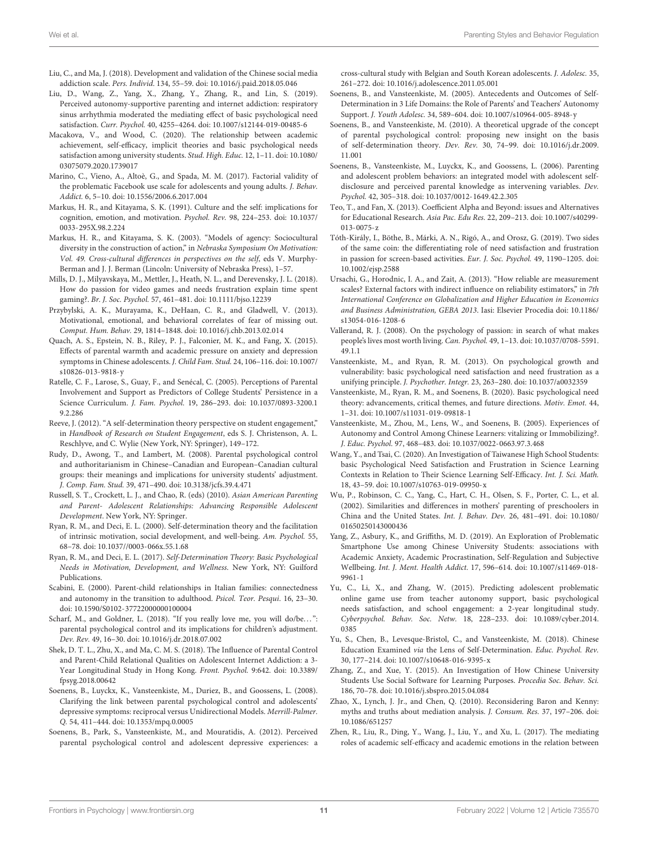<span id="page-11-4"></span>Liu, C., and Ma, J. (2018). Development and validation of the Chinese social media addiction scale. Pers. Individ. 134, 55–59. [doi: 10.1016/j.paid.2018.05.046](https://doi.org/10.1016/j.paid.2018.05.046)

- <span id="page-11-20"></span>Liu, D., Wang, Z., Yang, X., Zhang, Y., Zhang, R., and Lin, S. (2019). Perceived autonomy-supportive parenting and internet addiction: respiratory sinus arrhythmia moderated the mediating effect of basic psychological need satisfaction. Curr. Psychol. 40, 4255–4264. [doi: 10.1007/s12144-019-00485-6](https://doi.org/10.1007/s12144-019-00485-6)
- <span id="page-11-33"></span>Macakova, V., and Wood, C. (2020). The relationship between academic achievement, self-efficacy, implicit theories and basic psychological needs satisfaction among university students. Stud. High. Educ. 12, 1–11. [doi: 10.1080/](https://doi.org/10.1080/03075079.2020.1739017) [03075079.2020.1739017](https://doi.org/10.1080/03075079.2020.1739017)
- <span id="page-11-17"></span>Marino, C., Vieno, A., Altoè, G., and Spada, M. M. (2017). Factorial validity of the problematic Facebook use scale for adolescents and young adults. J. Behav. Addict. 6, 5–10. [doi: 10.1556/2006.6.2017.004](https://doi.org/10.1556/2006.6.2017.004)
- <span id="page-11-15"></span>Markus, H. R., and Kitayama, S. K. (1991). Culture and the self: implications for cognition, emotion, and motivation. Psychol. Rev. 98, 224–253. [doi: 10.1037/](https://doi.org/10.1037/0033-295X.98.2.224) [0033-295X.98.2.224](https://doi.org/10.1037/0033-295X.98.2.224)
- <span id="page-11-31"></span>Markus, H. R., and Kitayama, S. K. (2003). "Models of agency: Sociocultural diversity in the construction of action," in Nebraska Symposium On Motivation: Vol. 49. Cross-cultural differences in perspectives on the self, eds V. Murphy-Berman and J. J. Berman (Lincoln: University of Nebraska Press), 1–57.
- <span id="page-11-22"></span>Mills, D. J., Milyavskaya, M., Mettler, J., Heath, N. L., and Derevensky, J. L. (2018). How do passion for video games and needs frustration explain time spent gaming?. Br. J. Soc. Psychol. 57, 461–481. [doi: 10.1111/bjso.12239](https://doi.org/10.1111/bjso.12239)
- <span id="page-11-19"></span>Przybylski, A. K., Murayama, K., DeHaan, C. R., and Gladwell, V. (2013). Motivational, emotional, and behavioral correlates of fear of missing out. Comput. Hum. Behav. 29, 1814–1848. [doi: 10.1016/j.chb.2013.02.014](https://doi.org/10.1016/j.chb.2013.02.014)
- <span id="page-11-3"></span>Quach, A. S., Epstein, N. B., Riley, P. J., Falconier, M. K., and Fang, X. (2015). Effects of parental warmth and academic pressure on anxiety and depression symptoms in Chinese adolescents. J. Child Fam. Stud. 24, 106–116. [doi: 10.1007/](https://doi.org/10.1007/s10826-013-9818-y) [s10826-013-9818-y](https://doi.org/10.1007/s10826-013-9818-y)
- <span id="page-11-14"></span>Ratelle, C. F., Larose, S., Guay, F., and Senécal, C. (2005). Perceptions of Parental Involvement and Support as Predictors of College Students' Persistence in a Science Curriculum. J. Fam. Psychol. 19, 286–293. [doi: 10.1037/0893-3200.1](https://doi.org/10.1037/0893-3200.19.2.286) [9.2.286](https://doi.org/10.1037/0893-3200.19.2.286)
- <span id="page-11-34"></span>Reeve, J. (2012). "A self-determination theory perspective on student engagement," in Handbook of Research on Student Engagement, eds S. J. Christenson, A. L. Reschlyve, and C. Wylie (New York, NY: Springer), 149–172.
- <span id="page-11-10"></span>Rudy, D., Awong, T., and Lambert, M. (2008). Parental psychological control and authoritarianism in Chinese–Canadian and European–Canadian cultural groups: their meanings and implications for university students' adjustment. J. Comp. Fam. Stud. 39, 471–490. [doi: 10.3138/jcfs.39.4.471](https://doi.org/10.3138/jcfs.39.4.471)
- <span id="page-11-25"></span>Russell, S. T., Crockett, L. J., and Chao, R. (eds) (2010). Asian American Parenting and Parent- Adolescent Relationships: Advancing Responsible Adolescent Development. New York, NY: Springer.
- <span id="page-11-11"></span>Ryan, R. M., and Deci, E. L. (2000). Self-determination theory and the facilitation of intrinsic motivation, social development, and well-being. Am. Psychol. 55, 68–78. [doi: 10.1037//0003-066x.55.1.68](https://doi.org/10.1037//0003-066x.55.1.68)
- <span id="page-11-0"></span>Ryan, R. M., and Deci, E. L. (2017). Self-Determination Theory: Basic Psychological Needs in Motivation, Development, and Wellness. New York, NY: Guilford Publications.
- <span id="page-11-35"></span>Scabini, E. (2000). Parent-child relationships in Italian families: connectedness and autonomy in the transition to adulthood. Psicol. Teor. Pesqui. 16, 23–30. [doi: 10.1590/S0102-37722000000100004](https://doi.org/10.1590/S0102-37722000000100004)
- <span id="page-11-36"></span>Scharf, M., and Goldner, L. (2018). "If you really love me, you will do/be...": parental psychological control and its implications for children's adjustment. Dev. Rev. 49, 16–30. [doi: 10.1016/j.dr.2018.07.002](https://doi.org/10.1016/j.dr.2018.07.002)
- <span id="page-11-24"></span>Shek, D. T. L., Zhu, X., and Ma, C. M. S. (2018). The Influence of Parental Control and Parent-Child Relational Qualities on Adolescent Internet Addiction: a 3- Year Longitudinal Study in Hong Kong. Front. Psychol. 9:642. [doi: 10.3389/](https://doi.org/10.3389/fpsyg.2018.00642) [fpsyg.2018.00642](https://doi.org/10.3389/fpsyg.2018.00642)
- <span id="page-11-37"></span>Soenens, B., Luyckx, K., Vansteenkiste, M., Duriez, B., and Goossens, L. (2008). Clarifying the link between parental psychological control and adolescents' depressive symptoms: reciprocal versus Unidirectional Models. Merrill-Palmer. Q. 54, 411–444. [doi: 10.1353/mpq.0.0005](https://doi.org/10.1353/mpq.0.0005)
- <span id="page-11-32"></span>Soenens, B., Park, S., Vansteenkiste, M., and Mouratidis, A. (2012). Perceived parental psychological control and adolescent depressive experiences: a

cross-cultural study with Belgian and South Korean adolescents. J. Adolesc. 35, 261–272. [doi: 10.1016/j.adolescence.2011.05.001](https://doi.org/10.1016/j.adolescence.2011.05.001)

- <span id="page-11-8"></span>Soenens, B., and Vansteenkiste, M. (2005). Antecedents and Outcomes of Self-Determination in 3 Life Domains: the Role of Parents' and Teachers' Autonomy Support. J. Youth Adolesc. 34, 589–604. [doi: 10.1007/s10964-005-8948-y](https://doi.org/10.1007/s10964-005-8948-y)
- <span id="page-11-2"></span>Soenens, B., and Vansteenkiste, M. (2010). A theoretical upgrade of the concept of parental psychological control: proposing new insight on the basis of self-determination theory. Dev. Rev. 30, 74–99. [doi: 10.1016/j.dr.2009.](https://doi.org/10.1016/j.dr.2009.11.001) [11.001](https://doi.org/10.1016/j.dr.2009.11.001)
- <span id="page-11-27"></span>Soenens, B., Vansteenkiste, M., Luyckx, K., and Goossens, L. (2006). Parenting and adolescent problem behaviors: an integrated model with adolescent selfdisclosure and perceived parental knowledge as intervening variables. Dev. Psychol. 42, 305–318. [doi: 10.1037/0012-1649.42.2.305](https://doi.org/10.1037/0012-1649.42.2.305)
- <span id="page-11-26"></span>Teo, T., and Fan, X. (2013). Coefficient Alpha and Beyond: issues and Alternatives for Educational Research. Asia Pac. Edu Res. 22, 209–213. [doi: 10.1007/s40299-](https://doi.org/10.1007/s40299-013-0075-z) [013-0075-z](https://doi.org/10.1007/s40299-013-0075-z)
- <span id="page-11-23"></span>Tóth-Király, I., Böthe, B., Márki, A. N., Rigó, A., and Orosz, G. (2019). Two sides of the same coin: the differentiating role of need satisfaction and frustration in passion for screen-based activities. Eur. J. Soc. Psychol. 49, 1190–1205. [doi:](https://doi.org/10.1002/ejsp.2588) [10.1002/ejsp.2588](https://doi.org/10.1002/ejsp.2588)
- <span id="page-11-28"></span>Ursachi, G., Horodnic, I. A., and Zait, A. (2013). "How reliable are measurement scales? External factors with indirect influence on reliability estimators," in 7th International Conference on Globalization and Higher Education in Economics and Business Administration, GEBA 2013. Iasi: Elsevier Procedia [doi: 10.1186/](https://doi.org/10.1186/s13054-016-1208-6) [s13054-016-1208-6](https://doi.org/10.1186/s13054-016-1208-6)
- <span id="page-11-18"></span>Vallerand, R. J. (2008). On the psychology of passion: in search of what makes people's lives most worth living. Can. Psychol. 49, 1–13. [doi: 10.1037/0708-5591.](https://doi.org/10.1037/0708-5591.49.1.1) [49.1.1](https://doi.org/10.1037/0708-5591.49.1.1)
- <span id="page-11-1"></span>Vansteenkiste, M., and Ryan, R. M. (2013). On psychological growth and vulnerability: basic psychological need satisfaction and need frustration as a unifying principle. J. Psychother. Integr. 23, 263–280. [doi: 10.1037/a0032359](https://doi.org/10.1037/a0032359)
- <span id="page-11-7"></span>Vansteenkiste, M., Ryan, R. M., and Soenens, B. (2020). Basic psychological need theory: advancements, critical themes, and future directions. Motiv. Emot. 44, 1–31. [doi: 10.1007/s11031-019-09818-1](https://doi.org/10.1007/s11031-019-09818-1)
- <span id="page-11-6"></span>Vansteenkiste, M., Zhou, M., Lens, W., and Soenens, B. (2005). Experiences of Autonomy and Control Among Chinese Learners: vitalizing or Immobilizing?. J. Educ. Psychol. 97, 468–483. [doi: 10.1037/0022-0663.97.3.468](https://doi.org/10.1037/0022-0663.97.3.468)
- <span id="page-11-13"></span>Wang, Y., and Tsai, C. (2020). An Investigation of Taiwanese High School Students: basic Psychological Need Satisfaction and Frustration in Science Learning Contexts in Relation to Their Science Learning Self-Efficacy. Int. J. Sci. Math. 18, 43–59. [doi: 10.1007/s10763-019-09950-x](https://doi.org/10.1007/s10763-019-09950-x)
- <span id="page-11-9"></span>Wu, P., Robinson, C. C., Yang, C., Hart, C. H., Olsen, S. F., Porter, C. L., et al. (2002). Similarities and differences in mothers' parenting of preschoolers in China and the United States. Int. J. Behav. Dev. 26, 481–491. [doi: 10.1080/](https://doi.org/10.1080/01650250143000436) [01650250143000436](https://doi.org/10.1080/01650250143000436)
- <span id="page-11-5"></span>Yang, Z., Asbury, K., and Griffiths, M. D. (2019). An Exploration of Problematic Smartphone Use among Chinese University Students: associations with Academic Anxiety, Academic Procrastination, Self-Regulation and Subjective Wellbeing. Int. J. Ment. Health Addict. 17, 596–614. [doi: 10.1007/s11469-018-](https://doi.org/10.1007/s11469-018-9961-1) [9961-1](https://doi.org/10.1007/s11469-018-9961-1)
- <span id="page-11-21"></span>Yu, C., Li, X., and Zhang, W. (2015). Predicting adolescent problematic online game use from teacher autonomy support, basic psychological needs satisfaction, and school engagement: a 2-year longitudinal study. Cyberpsychol. Behav. Soc. Netw. 18, 228–233. [doi: 10.1089/cyber.2014.](https://doi.org/10.1089/cyber.2014.0385) [0385](https://doi.org/10.1089/cyber.2014.0385)
- <span id="page-11-30"></span>Yu, S., Chen, B., Levesque-Bristol, C., and Vansteenkiste, M. (2018). Chinese Education Examined via the Lens of Self-Determination. Educ. Psychol. Rev. 30, 177–214. [doi: 10.1007/s10648-016-9395-x](https://doi.org/10.1007/s10648-016-9395-x)
- <span id="page-11-16"></span>Zhang, Z., and Xue, Y. (2015). An Investigation of How Chinese University Students Use Social Software for Learning Purposes. Procedia Soc. Behav. Sci. 186, 70–78. [doi: 10.1016/j.sbspro.2015.04.084](https://doi.org/10.1016/j.sbspro.2015.04.084)
- <span id="page-11-29"></span>Zhao, X., Lynch, J. Jr., and Chen, Q. (2010). Reconsidering Baron and Kenny: myths and truths about mediation analysis. J. Consum. Res. 37, 197–206. [doi:](https://doi.org/10.1086/651257) [10.1086/651257](https://doi.org/10.1086/651257)
- <span id="page-11-12"></span>Zhen, R., Liu, R., Ding, Y., Wang, J., Liu, Y., and Xu, L. (2017). The mediating roles of academic self-efficacy and academic emotions in the relation between